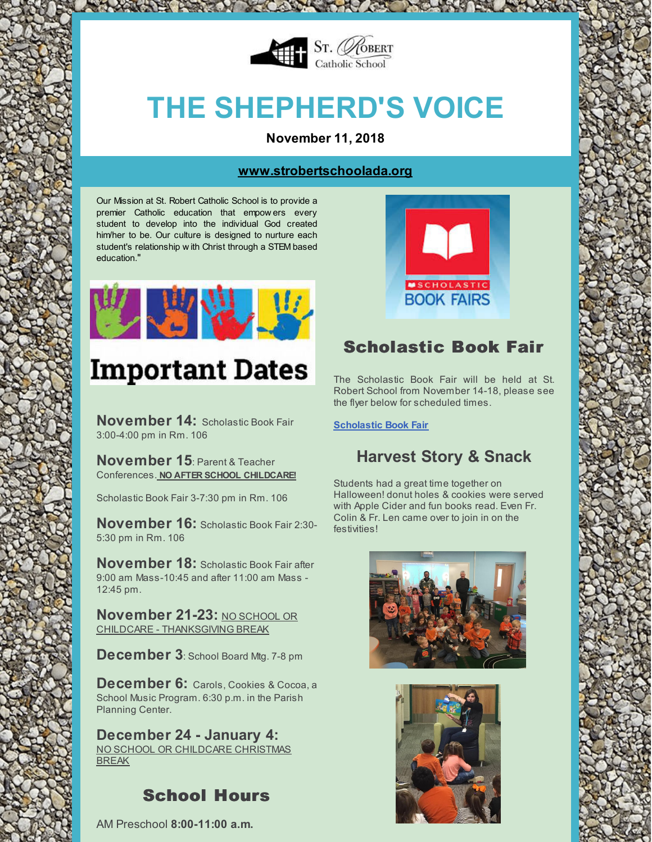

HOW YOU WANT AND MOVE

# **THE SHEPHERD'S VOICE**

**November 11, 2018**

#### **[www.strobertschoolada.org](http://strobertschoolada.org)**

Our Mission at St. Robert Catholic School is to provide a premier Catholic education that empow ers every student to develop into the individual God created him/her to be. Our culture is designed to nurture each student's relationship w ith Christ through a STEM based education."



## **Important Dates**

**November 14:** Scholastic Book Fair 3:00-4:00 pm in Rm. 106

**November 15**: Parent & Teacher Conferences. **NO AFTER SCHOOL CHILDCARE!**

Scholastic Book Fair 3-7:30 pm in Rm. 106

**November 16:** Scholastic Book Fair 2:30- 5:30 pm in Rm. 106

**November 18:** Scholastic Book Fair after 9:00 am Mass-10:45 and after 11:00 am Mass - 12:45 pm.

**November 21-23: NO SCHOOL OR** CHILDCARE - THANKSGIVING BREAK

**December 3**: School Board Mtg. 7-8 pm

**December 6:** Carols, Cookies & Cocoa, <sup>a</sup> School Music Program. 6:30 p.m. in the Parish Planning Center.

### **December 24 - January 4:**

NO SCHOOL OR CHILDCARE CHRISTMAS BREAK

## School Hours

AM Preschool **8:00-11:00 a.m.**



## Scholastic Book Fair

The Scholastic Book Fair will be held at St. Robert School from November 14-18, please see the flyer below for scheduled times.

**[Scholastic](http://files.constantcontact.com/d6018a1b201/aa96a9b2-dd95-4bac-8ff3-9271eb0e91ab.pdf) Book Fair**

## **Harvest Story & Snack**

Students had a great time together on Halloween! donut holes & cookies were served with Apple Cider and fun books read. Even Fr. Colin & Fr. Len came over to join in on the festivities!



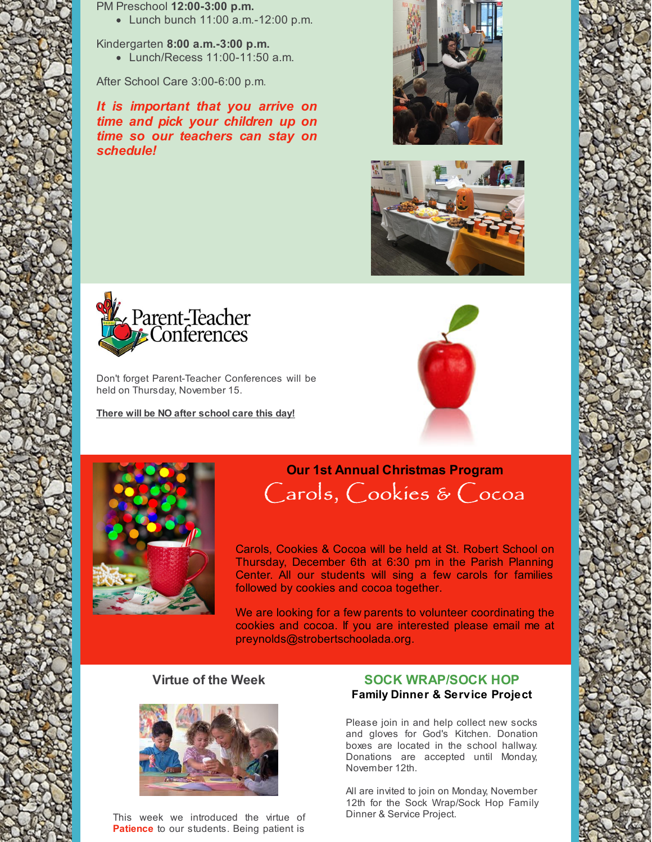PM Preschool **12:00-3:00 p.m.**

Lunch bunch 11:00 a.m.-12:00 p.m.

Kindergarten **8:00 a.m.-3:00 p.m.**

Lunch/Recess 11:00-11:50 a.m.

After School Care 3:00-6:00 p.m.

*It is important that you arrive on time and pick your children up on time so our teachers can stay on schedule!*







Don't forget Parent-Teacher Conferences will be held on Thursday, November 15.

**There will be NO after school care this day!**





## **Our 1st Annual Christmas Program** Carols, Cookies & Cocoa

Carols, Cookies & Cocoa will be held at St. Robert School on Thursday, December 6th at 6:30 pm in the Parish Planning Center. All our students will sing a few carols for families followed by cookies and cocoa together.

We are looking for a few parents to volunteer coordinating the cookies and cocoa. If you are interested please email me at preynolds@strobertschoolada.org.

#### **Virtue of the Week**



This week we introduced the virtue of **Patience** to our students. Being patient is

#### **SOCK WRAP/SOCK HOP Family Dinner & Service Project**

Please join in and help collect new socks and gloves for God's Kitchen. Donation boxes are located in the school hallway. Donations are accepted until Monday, November 12th.

All are invited to join on Monday, November 12th for the Sock Wrap/Sock Hop Family Dinner & Service Project.